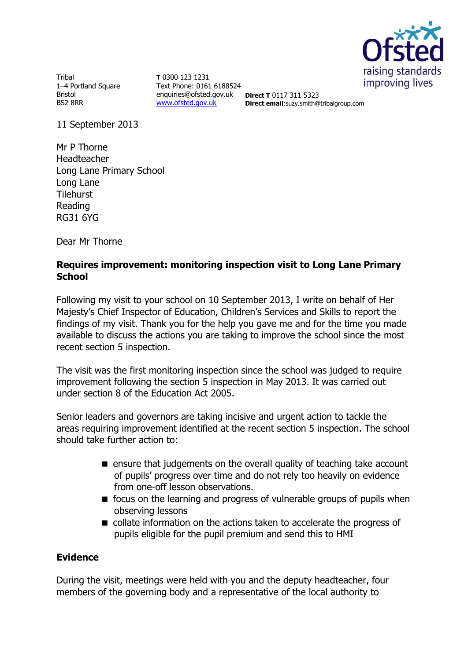

**Tribal** 1–4 Portland Square Bristol BS2 8RR

**T** 0300 123 1231 Text Phone: 0161 6188524 enquiries@ofsted.gov.uk **Direct T** 0117 311 5323 [www.ofsted.gov.uk](http://www.ofsted.gov.uk/)

**Direct email**:suzy.smith@tribalgroup.com

11 September 2013

Mr P Thorne Headteacher Long Lane Primary School Long Lane **Tilehurst** Reading RG31 6YG

Dear Mr Thorne

## **Requires improvement: monitoring inspection visit to Long Lane Primary School**

Following my visit to your school on 10 September 2013, I write on behalf of Her Majesty's Chief Inspector of Education, Children's Services and Skills to report the findings of my visit. Thank you for the help you gave me and for the time you made available to discuss the actions you are taking to improve the school since the most recent section 5 inspection.

The visit was the first monitoring inspection since the school was judged to require improvement following the section 5 inspection in May 2013. It was carried out under section 8 of the Education Act 2005.

Senior leaders and governors are taking incisive and urgent action to tackle the areas requiring improvement identified at the recent section 5 inspection. The school should take further action to:

- $\blacksquare$  ensure that judgements on the overall quality of teaching take account of pupils' progress over time and do not rely too heavily on evidence from one-off lesson observations.
- $\blacksquare$  focus on the learning and progress of vulnerable groups of pupils when observing lessons
- collate information on the actions taken to accelerate the progress of pupils eligible for the pupil premium and send this to HMI

### **Evidence**

During the visit, meetings were held with you and the deputy headteacher, four members of the governing body and a representative of the local authority to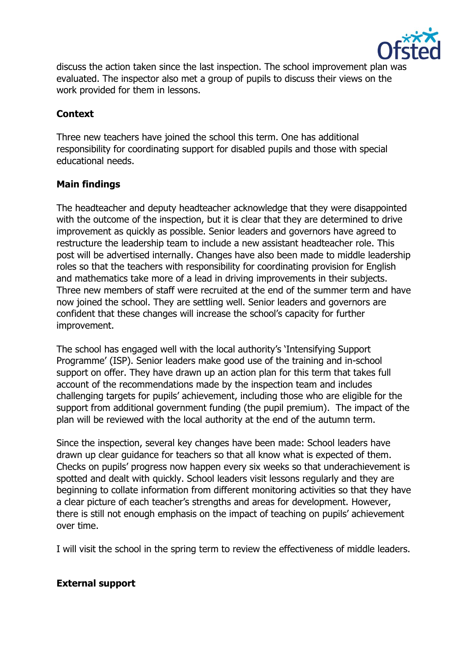

discuss the action taken since the last inspection. The school improvement plan was evaluated. The inspector also met a group of pupils to discuss their views on the work provided for them in lessons.

# **Context**

Three new teachers have joined the school this term. One has additional responsibility for coordinating support for disabled pupils and those with special educational needs.

## **Main findings**

The headteacher and deputy headteacher acknowledge that they were disappointed with the outcome of the inspection, but it is clear that they are determined to drive improvement as quickly as possible. Senior leaders and governors have agreed to restructure the leadership team to include a new assistant headteacher role. This post will be advertised internally. Changes have also been made to middle leadership roles so that the teachers with responsibility for coordinating provision for English and mathematics take more of a lead in driving improvements in their subjects. Three new members of staff were recruited at the end of the summer term and have now joined the school. They are settling well. Senior leaders and governors are confident that these changes will increase the school's capacity for further improvement.

The school has engaged well with the local authority's 'Intensifying Support Programme' (ISP). Senior leaders make good use of the training and in-school support on offer. They have drawn up an action plan for this term that takes full account of the recommendations made by the inspection team and includes challenging targets for pupils' achievement, including those who are eligible for the support from additional government funding (the pupil premium). The impact of the plan will be reviewed with the local authority at the end of the autumn term.

Since the inspection, several key changes have been made: School leaders have drawn up clear guidance for teachers so that all know what is expected of them. Checks on pupils' progress now happen every six weeks so that underachievement is spotted and dealt with quickly. School leaders visit lessons regularly and they are beginning to collate information from different monitoring activities so that they have a clear picture of each teacher's strengths and areas for development. However, there is still not enough emphasis on the impact of teaching on pupils' achievement over time.

I will visit the school in the spring term to review the effectiveness of middle leaders.

### **External support**